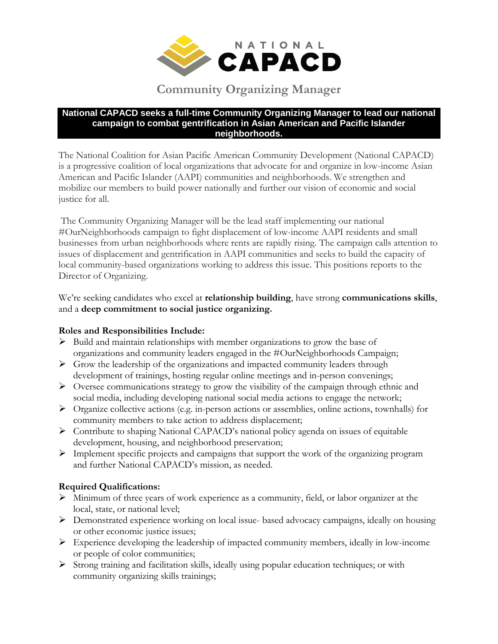

# **Community Organizing Manager**

#### **National CAPACD seeks a full-time Community Organizing Manager to lead our national campaign to combat gentrification in Asian American and Pacific Islander neighborhoods.**

The National Coalition for Asian Pacific American Community Development (National CAPACD) is a progressive coalition of local organizations that advocate for and organize in low-income Asian American and Pacific Islander (AAPI) communities and neighborhoods. We strengthen and mobilize our members to build power nationally and further our vision of economic and social justice for all.

The Community Organizing Manager will be the lead staff implementing our national #OurNeighborhoods campaign to fight displacement of low-income AAPI residents and small businesses from urban neighborhoods where rents are rapidly rising. The campaign calls attention to issues of displacement and gentrification in AAPI communities and seeks to build the capacity of local community-based organizations working to address this issue. This positions reports to the Director of Organizing.

We're seeking candidates who excel at **relationship building**, have strong **communications skills**, and a **deep commitment to social justice organizing.**

# **Roles and Responsibilities Include:**

- $\triangleright$  Build and maintain relationships with member organizations to grow the base of organizations and community leaders engaged in the #OurNeighborhoods Campaign;
- $\triangleright$  Grow the leadership of the organizations and impacted community leaders through development of trainings, hosting regular online meetings and in-person convenings;
- $\triangleright$  Oversee communications strategy to grow the visibility of the campaign through ethnic and social media, including developing national social media actions to engage the network;
- $\triangleright$  Organize collective actions (e.g. in-person actions or assemblies, online actions, townhalls) for community members to take action to address displacement;
- Contribute to shaping National CAPACD's national policy agenda on issues of equitable development, housing, and neighborhood preservation;
- Implement specific projects and campaigns that support the work of the organizing program and further National CAPACD's mission, as needed.

# **Required Qualifications:**

- Minimum of three years of work experience as a community, field, or labor organizer at the local, state, or national level;
- Demonstrated experience working on local issue- based advocacy campaigns, ideally on housing or other economic justice issues;
- $\triangleright$  Experience developing the leadership of impacted community members, ideally in low-income or people of color communities;
- $\triangleright$  Strong training and facilitation skills, ideally using popular education techniques; or with community organizing skills trainings;